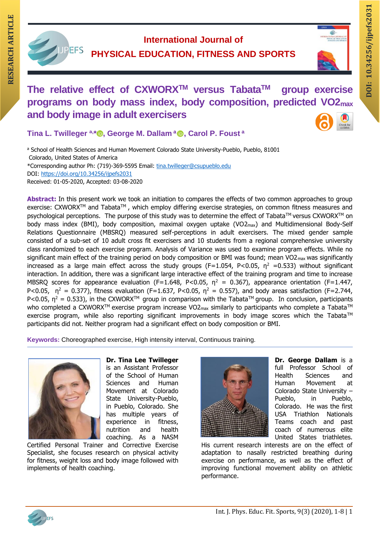

**International Journal of PHYSICAL EDUCATION, FITNESS AND SPORTS**



# **DOI:** International Journal of<br>
DOI: DEFS PHYSICAL EDUCATION, FITNESS AND SPORTS<br>
The relative effect of CXWORX™ versus Tabata™ group exercise **The relative effect of CXWORXTM versus TabataTM group exercise programs on body mass index, body composition, predicted VO2max and body image in adult exercisers**

**Tina L. Twilleger ª, [\\* ,](https://orcid.org/0000-0002-4366-3408) George M. Dallam <sup>a</sup> , Carol P. Foust <sup>a</sup>**

a School of Health Sciences and Human Movement Colorado State University-Pueblo, Pueblo, 81001 Colorado, United States of America \*Corresponding author Ph: (719)-369-5595 Email: [tina.twilleger@csupueblo.edu](mailto:tina.twilleger@csupueblo.edu) DOI:<https://doi.org/10.34256/ijpefs2031> Received: 01-05-2020, Accepted: 03-08-2020

**Abstract:** In this present work we took an initiation to compares the effects of two common approaches to group exercise: CXWORX™ and Tabata™, which employ differing exercise strategies, on common fitness measures and psychological perceptions. The purpose of this study was to determine the effect of Tabata™ versus CXWORX™ on body mass index (BMI), body composition, maximal oxygen uptake (VO2<sub>max</sub>) and Multidimensional Body-Self Relations Questionnaire (MBSRQ) measured self-perceptions in adult exercisers. The mixed gender sample consisted of a sub-set of 10 adult cross fit exercisers and 10 students from a regional comprehensive university class randomized to each exercise program. Analysis of Variance was used to examine program effects. While no significant main effect of the training period on body composition or BMI was found; mean  $VO2_{\text{max}}$  was significantly increased as a large main effect across the study groups (F=1.054, P<0.05,  $\eta^2$  =0.533) without significant interaction. In addition, there was a significant large interactive effect of the training program and time to increase MBSRQ scores for appearance evaluation (F=1.648, P<0.05,  $\eta^2$  = 0.367), appearance orientation (F=1.447, P<0.05,  $\eta^2 = 0.377$ ), fitness evaluation (F=1.637, P<0.05,  $\eta^2 = 0.557$ ), and body areas satisfaction (F=2.744, P<0.05,  $n^2 = 0.533$ ), in the CXWORX<sup>TM</sup> group in comparison with the Tabata<sup>TM</sup> group. In conclusion, participants who completed a CXWORX™ exercise program increase VO2<sub>max</sub> similarly to participants who complete a Tabata™ exercise program, while also reporting significant improvements in body image scores which the Tabata™ participants did not. Neither program had a significant effect on body composition or BMI.

**Keywords:** Choreographed exercise, High intensity interval, Continuous training.



**Dr. Tina Lee Twilleger**  is an Assistant Professor of the School of Human Sciences and Human Movement at Colorado State University-Pueblo, in Pueblo, Colorado. She has multiple years of experience in fitness, nutrition and health coaching. As a NASM

Certified Personal Trainer and Corrective Exercise Specialist, she focuses research on physical activity for fitness, weight loss and body image followed with implements of health coaching.



**Dr. George Dallam** is a full Professor School of Health Sciences and Human Movement at Colorado State University – Pueblo, in Pueblo, Colorado. He was the first USA Triathlon Nationals Teams coach and past coach of numerous elite United States triathletes.

His current research interests are on the effect of adaptation to nasally restricted breathing during exercise on performance, as well as the effect of improving functional movement ability on athletic performance.

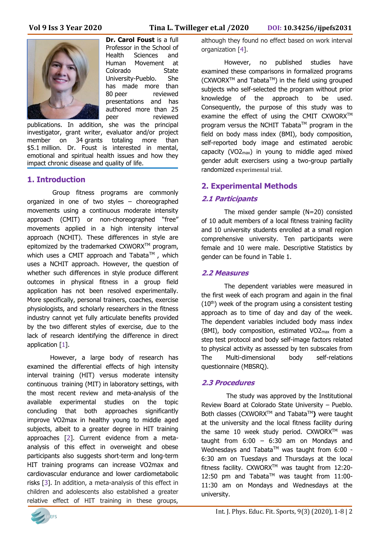

**Dr. Carol Foust** is a full Professor in the School of Health Sciences and Human Movement at Colorado State University-Pueblo. She has made more than 80 peer reviewed presentations and has authored more than 25<br>peer reviewed reviewed

publications. In addition, she was the principal investigator, grant writer, evaluator and/or project member on 34 grants totaling more than \$5.1 million. Dr. Foust is interested in mental, emotional and spiritual health issues and how they impact chronic disease and quality of life.

# **1. Introduction**

Group fitness programs are commonly organized in one of two styles – choreographed movements using a continuous moderate intensity approach (CMIT) or non-choreographed "free" movements applied in a high intensity interval approach (NCHIT). These differences in style are epitomized by the trademarked CXWORX™ program, which uses a CMIT approach and Tabata™, which uses a NCHIT approach. However, the question of whether such differences in style produce different outcomes in physical fitness in a group field application has not been resolved experimentally. More specifically, personal trainers, coaches, exercise physiologists, and scholarly researchers in the fitness industry cannot yet fully articulate benefits provided by the two different styles of exercise, due to the lack of research identifying the difference in direct application [1].

However, a large body of research has examined the differential effects of high intensity interval training (HIT) versus moderate intensity continuous training (MIT) in laboratory settings, with the most recent review and meta-analysis of the available experimental studies on the topic concluding that both approaches significantly improve VO2max in healthy young to middle aged subjects, albeit to a greater degree in HIT training approaches [2]. Current evidence from a metaanalysis of this effect in overweight and obese participants also suggests short-term and long-term HIT training programs can increase VO2max and cardiovascular endurance and lower cardiometabolic risks [3]. In addition, a meta-analysis of this effect in children and adolescents also established a greater relative effect of HIT training in these groups,

although they found no effect based on work interval organization [4].

However, no published studies have examined these comparisons in formalized programs  $(CXWORX<sup>TM</sup>$  and Tabata<sup>TM</sup>) in the field using grouped subjects who self-selected the program without prior knowledge of the approach to be used. Consequently, the purpose of this study was to examine the effect of using the CMIT CXWORX™ program versus the NCHIT Tabata™ program in the field on body mass index (BMI), body composition, self-reported body image and estimated aerobic capacity (VO2max) in young to middle aged mixed gender adult exercisers using a two-group partially randomized experimental trial.

# **2. Experimental Methods**

## **2.1 Participants**

The mixed gender sample (N=20) consisted of 10 adult members of a local fitness training facility and 10 university students enrolled at a small region comprehensive university. Ten participants were female and 10 were male. Descriptive Statistics by gender can be found in Table 1.

## **2.2 Measures**

The dependent variables were measured in the first week of each program and again in the final  $(10<sup>th</sup>)$  week of the program using a consistent testing approach as to time of day and day of the week. The dependent variables included body mass index (BMI), body composition, estimated VO2max from a step test protocol and body self-image factors related to physical activity as assessed by ten subscales from The Multi-dimensional body self-relations questionnaire (MBSRQ).

# **2.3 Procedures**

The study was approved by the Institutional Review Board at Colorado State University – Pueblo. Both classes (CXWORX<sup>™</sup> and Tabata<sup>™</sup>) were taught at the university and the local fitness facility during the same 10 week study period. CXWORX™ was taught from  $6:00 - 6:30$  am on Mondays and Wednesdays and Tabata™ was taught from 6:00 -6:30 am on Tuesdays and Thursdays at the local fitness facility. CXWORX<sup>™</sup> was taught from 12:20-12:50 pm and Tabata™ was taught from 11:00-11:30 am on Mondays and Wednesdays at the university.

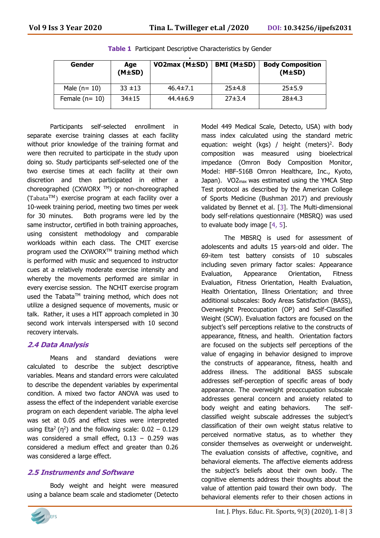| Gender          | Age<br>$(M\pm SD)$ | VO2max (M±SD)  | BMI (M±SD) | <b>Body Composition</b><br>(M±SD) |
|-----------------|--------------------|----------------|------------|-----------------------------------|
| Male $(n=10)$   | $33 + 13$          | $46.4 \pm 7.1$ | 25±4.8     | 25±5.9                            |
| Female $(n=10)$ | $34 \pm 15$        | $44.4 \pm 6.9$ | 27±3.4     | 28±4.3                            |

**Table 1** Participant Descriptive Characteristics by Gender

Participants self-selected enrollment in separate exercise training classes at each facility without prior knowledge of the training format and were then recruited to participate in the study upon doing so. Study participants self-selected one of the two exercise times at each facility at their own discretion and then participated in either a choreographed (CXWORX ™) or non-choreographed (Tabata TM) exercise program at each facility over a 10-week training period, meeting two times per week for 30 minutes. Both programs were led by the same instructor, certified in both training approaches, using consistent methodology and comparable workloads within each class. The CMIT exercise program used the CXWORX™ training method which is performed with music and sequenced to instructor cues at a relatively moderate exercise intensity and whereby the movements performed are similar in every exercise session. The NCHIT exercise program used the Tabata™ training method, which does not utilize a designed sequence of movements, music or talk. Rather, it uses a HIT approach completed in 30 second work intervals interspersed with 10 second recovery intervals.

# **2.4 Data Analysis**

Means and standard deviations were calculated to describe the subject descriptive variables. Means and standard errors were calculated to describe the dependent variables by experimental condition. A mixed two factor ANOVA was used to assess the effect of the independent variable exercise program on each dependent variable. The alpha level was set at 0.05 and effect sizes were interpreted using Eta<sup>2</sup> ( $\eta^2$ ) and the following scale: 0.02 – 0.129 was considered a small effect,  $0.13 - 0.259$  was considered a medium effect and greater than 0.26 was considered a large effect.

# **2.5 Instruments and Software**

Body weight and height were measured using a balance beam scale and stadiometer (Detecto



Model 449 Medical Scale, Detecto, USA) with body mass index calculated using the standard metric equation: weight (kgs) / height (meters)<sup>2</sup>. Body composition was measured using bioelectrical impedance (Omron Body Composition Monitor, Model: HBF-516B Omron Healthcare, Inc., Kyoto, Japan). VO2max was estimated using the YMCA Step Test protocol as described by the American College of Sports Medicine (Bushman 2017) and previously validated by Bennet et al. [3]. The Multi-dimensional body self-relations questionnaire (MBSRQ) was used to evaluate body image [4, 5].

The MBSRQ is used for assessment of adolescents and adults 15 years-old and older. The 69-item test battery consists of 10 subscales including seven primary factor scales: Appearance Evaluation, Appearance Orientation, Fitness Evaluation, Fitness Orientation, Health Evaluation, Health Orientation, Illness Orientation; and three additional subscales: Body Areas Satisfaction (BASS), Overweight Preoccupation (OP) and Self-Classified Weight (SCW). Evaluation factors are focused on the subject's self perceptions relative to the constructs of appearance, fitness, and health. Orientation factors are focused on the subjects self perceptions of the value of engaging in behavior designed to improve the constructs of appearance, fitness, health and address illness. The additional BASS subscale addresses self-perception of specific areas of body appearance. The overweight preoccupation subscale addresses general concern and anxiety related to body weight and eating behaviors. The selfclassified weight subscale addresses the subject's classification of their own weight status relative to perceived normative status, as to whether they consider themselves as overweight or underweight. The evaluation consists of affective, cognitive, and behavioral elements. The affective elements address the subject's beliefs about their own body. The cognitive elements address their thoughts about the value of attention paid toward their own body. The behavioral elements refer to their chosen actions in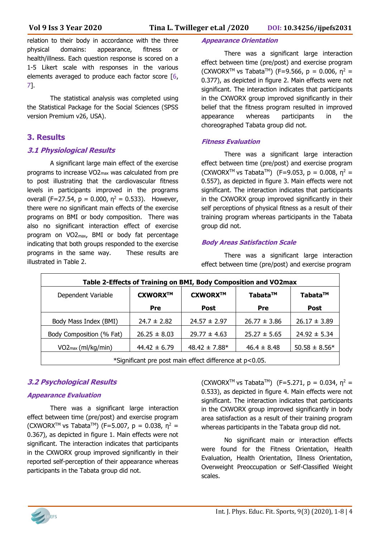relation to their body in accordance with the three physical domains: appearance, fitness or health/illness. Each question response is scored on a 1-5 Likert scale with responses in the various elements averaged to produce each factor score [6, 7].

The statistical analysis was completed using the Statistical Package for the Social Sciences (SPSS version Premium v26, USA).

## **3. Results**

#### **3.1 Physiological Results**

A significant large main effect of the exercise programs to increase VO2max was calculated from pre to post illustrating that the cardiovascular fitness levels in participants improved in the programs overall (F=27.54,  $p = 0.000$ ,  $\eta^2 = 0.533$ ). However, there were no significant main effects of the exercise programs on BMI or body composition. There was also no significant interaction effect of exercise program on VO2max, BMI or body fat percentage indicating that both groups responded to the exercise programs in the same way. These results are illustrated in Table 2.

#### **Appearance Orientation**

There was a significant large interaction effect between time (pre/post) and exercise program (CXWORX<sup>™</sup> vs Tabata<sup>™</sup>) (F=9.566, p = 0.006,  $n^2$  = 0.377), as depicted in figure 2. Main effects were not significant. The interaction indicates that participants in the CXWORX group improved significantly in their belief that the fitness program resulted in improved appearance whereas participants in the choreographed Tabata group did not.

#### **Fitness Evaluation**

There was a significant large interaction effect between time (pre/post) and exercise program (CXWORX<sup>™</sup> vs Tabata<sup>™</sup>) (F=9.053, p = 0.008,  $n^2$  = 0.557), as depicted in figure 3. Main effects were not significant. The interaction indicates that participants in the CXWORX group improved significantly in their self perceptions of physical fitness as a result of their training program whereas participants in the Tabata group did not.

#### **Body Areas Satisfaction Scale**

There was a significant large interaction effect between time (pre/post) and exercise program

| Table 2-Effects of Training on BMI, Body Composition and VO2max |                  |                   |                  |                   |  |  |  |
|-----------------------------------------------------------------|------------------|-------------------|------------------|-------------------|--|--|--|
| Dependent Variable                                              | CXWORX™          | CXWORX™           | Tabata™          | Tabata™           |  |  |  |
|                                                                 | Pre              | Post              | <b>Pre</b>       | <b>Post</b>       |  |  |  |
| Body Mass Index (BMI)                                           | $24.7 \pm 2.82$  | $24.57 \pm 2.97$  | $26.77 \pm 3.86$ | $26.17 \pm 3.89$  |  |  |  |
| Body Composition (% Fat)                                        | $26.25 \pm 8.03$ | $29.77 \pm 4.63$  | $25.27 \pm 5.65$ | $24.92 \pm 5.34$  |  |  |  |
| $VO2_{max}(ml/kg/min)$                                          | $44.42 \pm 6.79$ | $48.42 \pm 7.88*$ | $46.4 \pm 8.48$  | $50.58 \pm 8.56*$ |  |  |  |
| *Significant pre post main effect difference at p<0.05.         |                  |                   |                  |                   |  |  |  |

## **3.2 Psychological Results**

#### **Appearance Evaluation**

There was a significant large interaction effect between time (pre/post) and exercise program (CXWORX<sup>™</sup> vs Tabata<sup>™</sup>) (F=5.007, p = 0.038,  $\eta^2$  = 0.367), as depicted in figure 1. Main effects were not significant. The interaction indicates that participants in the CXWORX group improved significantly in their reported self-perception of their appearance whereas participants in the Tabata group did not.

(CXWORX<sup>™</sup> vs Tabata<sup>™</sup>) (F=5.271, p = 0.034, n<sup>2</sup> = 0.533), as depicted in figure 4. Main effects were not significant. The interaction indicates that participants in the CXWORX group improved significantly in body area satisfaction as a result of their training program whereas participants in the Tabata group did not.

No significant main or interaction effects were found for the Fitness Orientation, Health Evaluation, Health Orientation, Illness Orientation, Overweight Preoccupation or Self-Classified Weight scales.

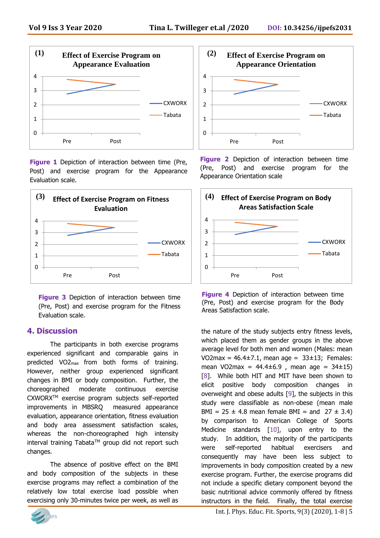

**Figure 1** Depiction of interaction between time (Pre, Post) and exercise program for the Appearance Evaluation scale.



**Figure 3** Depiction of interaction between time (Pre, Post) and exercise program for the Fitness Evaluation scale.

## **4. Discussion**

The participants in both exercise programs experienced significant and comparable gains in predicted VO2max from both forms of training. However, neither group experienced significant changes in BMI or body composition. Further, the choreographed moderate continuous exercise CXWORXTM exercise program subjects self-reported improvements in MBSRQ measured appearance evaluation, appearance orientation, fitness evaluation and body area assessment satisfaction scales, whereas the non-choreographed high intensity interval training Tabata™ group did not report such changes.

The absence of positive effect on the BMI and body composition of the subjects in these exercise programs may reflect a combination of the relatively low total exercise load possible when exercising only 30-minutes twice per week, as well as





**Figure 2** Depiction of interaction between time (Pre, Post) and exercise program for the Appearance Orientation scale



**Figure 4** Depiction of interaction between time (Pre, Post) and exercise program for the Body Areas Satisfaction scale.

the nature of the study subjects entry fitness levels, which placed them as gender groups in the above average level for both men and women (Males: mean VO2max =  $46.4 \pm 7.1$ , mean age =  $33 \pm 13$ ; Females: mean VO2max =  $44.4 \pm 6.9$ , mean age =  $34 \pm 15$ ) [8]. While both HIT and MIT have been shown to elicit positive body composition changes in overweight and obese adults [9], the subjects in this study were classifiable as non-obese (mean male BMI =  $25 \pm 4.8$  mean female BMI = and  $27 \pm 3.4$ ) by comparison to American College of Sports Medicine standards [10], upon entry to the study. In addition, the majority of the participants were self-reported habitual exercisers and consequently may have been less subject to improvements in body composition created by a new exercise program. Further, the exercise programs did not include a specific dietary component beyond the basic nutritional advice commonly offered by fitness instructors in the field. Finally, the total exercise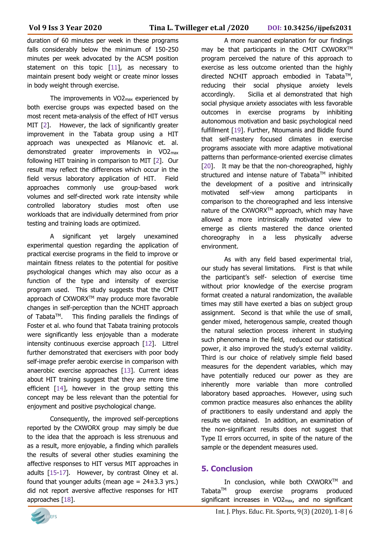duration of 60 minutes per week in these programs falls considerably below the minimum of 150-250 minutes per week advocated by the ACSM position statement on this topic [11], as necessary to maintain present body weight or create minor losses in body weight through exercise.

The improvements in VO2max experienced by both exercise groups was expected based on the most recent meta-analysis of the effect of HIT versus MIT [2]. However, the lack of significantly greater improvement in the Tabata group using a HIT approach was unexpected as Milanovic et. al. demonstrated greater improvements in VO2max following HIT training in comparison to MIT [2]. Our result may reflect the differences which occur in the field versus laboratory application of HIT. Field approaches commonly use group-based work volumes and self-directed work rate intensity while controlled laboratory studies most often use workloads that are individually determined from prior testing and training loads are optimized.

A significant yet largely unexamined experimental question regarding the application of practical exercise programs in the field to improve or maintain fitness relates to the potential for positive psychological changes which may also occur as a function of the type and intensity of exercise program used. This study suggests that the CMIT approach of CXWORX™ may produce more favorable changes in self-perception than the NCHIT approach of Tabata<sup>™</sup>. This finding parallels the findings of Foster et al. who found that Tabata training protocols were significantly less enjoyable than a moderate intensity continuous exercise approach [12]. Littrel further demonstrated that exercisers with poor body self-image prefer aerobic exercise in comparison with anaerobic exercise approaches [13]. Current ideas about HIT training suggest that they are more time efficient [14], however in the group setting this concept may be less relevant than the potential for enjoyment and positive psychological change.

Consequently, the improved self-perceptions reported by the CXWORX group may simply be due to the idea that the approach is less strenuous and as a result, more enjoyable, a finding which parallels the results of several other studies examining the affective responses to HIT versus MIT approaches in adults [15-17]. However, by contrast Olney et al. found that younger adults (mean age =  $24\pm3.3$  yrs.) did not report aversive affective responses for HIT approaches [18].

A more nuanced explanation for our findings may be that participants in the CMIT CXWORX™ program perceived the nature of this approach to exercise as less outcome oriented than the highly directed NCHIT approach embodied in Tabata<sup>™</sup>, reducing their social physique anxiety levels accordingly. Sicilia et al demonstrated that high social physique anxiety associates with less favorable outcomes in exercise programs by inhibiting autonomous motivation and basic psychological need fulfillment [19]. Further, Ntoumanis and Biddle found that self-mastery focused climates in exercise programs associate with more adaptive motivational patterns than performance-oriented exercise climates [20]. It may be that the non-choreographed, highly structured and intense nature of Tabata™ inhibited the development of a positive and intrinsically motivated self-view among participants in comparison to the choreographed and less intensive nature of the CXWORX™ approach, which may have allowed a more intrinsically motivated view to emerge as clients mastered the dance oriented choreography in a less physically adverse environment.

As with any field based experimental trial, our study has several limitations. First is that while the participant's self- selection of exercise time without prior knowledge of the exercise program format created a natural randomization, the available times may still have exerted a bias on subject group assignment. Second is that while the use of small, gender mixed, heterogenous sample, created though the natural selection process inherent in studying such phenomena in the field, reduced our statistical power, it also improved the study's external validity. Third is our choice of relatively simple field based measures for the dependent variables, which may have potentially reduced our power as they are inherently more variable than more controlled laboratory based approaches. However, using such common practice measures also enhances the ability of practitioners to easily understand and apply the results we obtained. In addition, an examination of the non-significant results does not suggest that Type II errors occurred, in spite of the nature of the sample or the dependent measures used.

# **5. Conclusion**

In conclusion, while both CXWORX™ and Tabata<sup>™</sup> group exercise programs produced significant increases in VO2max, and no significant

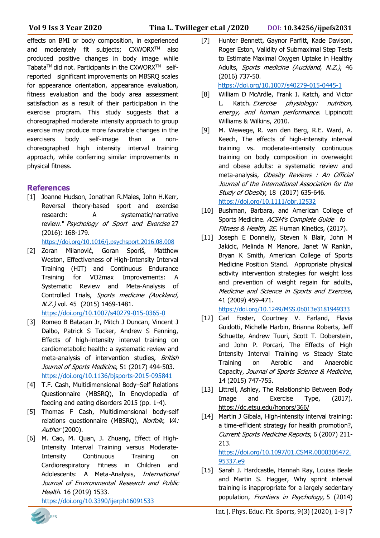effects on BMI or body composition, in experienced and moderately fit subjects; CXWORX™ also produced positive changes in body image while Tabata<sup>TM</sup> did not. Participants in the CXWORX<sup>TM</sup> selfreported significant improvements on MBSRQ scales for appearance orientation, appearance evaluation, fitness evaluation and the body area assessment satisfaction as a result of their participation in the exercise program. This study suggests that a choreographed moderate intensity approach to group exercise may produce more favorable changes in the exercisers body self-image than a nonchoreographed high intensity interval training approach, while conferring similar improvements in physical fitness.

## **References**

- [1] Joanne Hudson, Jonathan R.Males, John H.Kerr, Reversal theory-based sport and exercise research: A systematic/narrative review." Psychology of Sport and Exercise 27 (2016): 168-179. <https://doi.org/10.1016/j.psychsport.2016.08.008>
- [2] Zoran Milanović, Goran Sporiš, Matthew Weston, Effectiveness of High-Intensity Interval Training (HIT) and Continuous Endurance Training for VO2max Improvements: A Systematic Review and Meta-Analysis of Controlled Trials, Sports medicine (Auckland, N.Z.) vol. 45 (2015) 1469-1481. <https://doi.org/10.1007/s40279-015-0365-0>
- [3] Romeo B Batacan Jr, Mitch J Duncan, Vincent J Dalbo, Patrick S Tucker, Andrew S Fenning, Effects of high-intensity interval training on cardiometabolic health: a systematic review and meta-analysis of intervention studies, British Journal of Sports Medicine, 51 (2017) 494-503. <https://doi.org/10.1136/bjsports-2015-095841>
- [4] T.F. Cash, Multidimensional Body–Self Relations Questionnaire (MBSRQ), In Encyclopedia of feeding and eating disorders 2015 (pp. 1-4).
- [5] Thomas F Cash, Multidimensional body-self relations questionnaire (MBSRQ), Norfolk, VA: Author (2000).
- [6] M. Cao, M. Quan, J. Zhuang, Effect of High-Intensity Interval Training versus Moderate-Intensity Continuous Training on Cardiorespiratory Fitness in Children and Adolescents: A Meta-Analysis, International Journal of Environmental Research and Public Health. 16 (2019) 1533.

<https://doi.org/10.3390/ijerph16091533>

[7] Hunter Bennett, Gaynor Parfitt, Kade Davison, Roger Eston, Validity of Submaximal Step Tests to Estimate Maximal Oxygen Uptake in Healthy Adults, Sports medicine (Auckland, N.Z.), 46 (2016) 737-50.

<https://doi.org/10.1007/s40279-015-0445-1>

- [8] William D McArdle, Frank I. Katch, and Victor L. Katch. Exercise physiology: nutrition, energy, and human performance. Lippincott Williams & Wilkins, 2010.
- [9] M. Wewege, R. van den Berg, R.E. Ward, A. Keech, The effects of high-intensity interval training vs. moderate-intensity continuous training on body composition in overweight and obese adults: a systematic review and meta-analysis, Obesity Reviews : An Official Journal of the International Association for the Study of Obesity, 18 (2017) 635-646. <https://doi.org/10.1111/obr.12532>
- [10] Bushman, Barbara, and American College of Sports Medicine. ACSM's Complete Guide to Fitness & Health, 2E. Human Kinetics, (2017).
- [11] Joseph E Donnelly, Steven N Blair, John M Jakicic, Melinda M Manore, Janet W Rankin, Bryan K Smith, American College of Sports Medicine Position Stand. Appropriate physical activity intervention strategies for weight loss and prevention of weight regain for adults, Medicine and Science in Sports and Exercise, 41 (2009) 459-471.

<https://doi.org/10.1249/MSS.0b013e3181949333>

- [12] Carl Foster, Courtney V. Farland, Flavia Guidotti, Michelle Harbin, Brianna Roberts, Jeff Schuette, Andrew Tuuri, Scott T. Doberstein, and John P. Porcari, The Effects of High Intensity Interval Training vs Steady State Training on Aerobic and Anaerobic Capacity, Journal of Sports Science & Medicine, 14 (2015) 747-755.
- [13] Littrell, Ashley, The Relationship Between Body Image and Exercise Type, (2017). [https://dc.etsu.edu/honors/366/](about:blank)
- [14] Martin J Gibala, High-intensity interval training: a time-efficient strategy for health promotion?, Current Sports Medicine Reports, 6 (2007) 211- 213.

[https://doi.org/10.1097/01.CSMR.0000306472.](https://doi.org/10.1097/01.CSMR.0000306472.95337.e9) [95337.e9](https://doi.org/10.1097/01.CSMR.0000306472.95337.e9)

[15] Sarah J. Hardcastle, Hannah Ray, Louisa Beale and Martin S. Hagger, Why sprint interval training is inappropriate for a largely sedentary population, Frontiers in Psychology, 5 (2014)